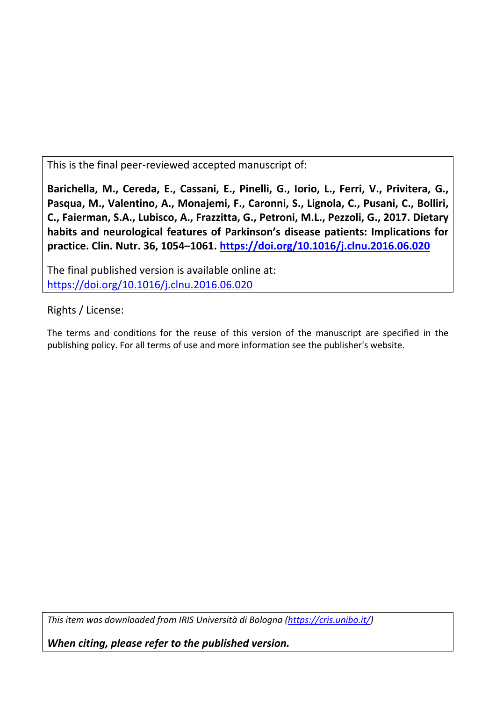This is the final peer-reviewed accepted manuscript of:

**Barichella, M., Cereda, E., Cassani, E., Pinelli, G., Iorio, L., Ferri, V., Privitera, G., Pasqua, M., Valentino, A., Monajemi, F., Caronni, S., Lignola, C., Pusani, C., Bolliri, C., Faierman, S.A., Lubisco, A., Frazzitta, G., Petroni, M.L., Pezzoli, G., 2017. Dietary habits and neurological features of Parkinson's disease patients: Implications for practice. Clin. Nutr. 36, 1054–1061.<https://doi.org/10.1016/j.clnu.2016.06.020>**

The final published version is available online at: <https://doi.org/10.1016/j.clnu.2016.06.020>

Rights / License:

The terms and conditions for the reuse of this version of the manuscript are specified in the publishing policy. For all terms of use and more information see the publisher's website.

*This item was downloaded from IRIS Università di Bologna [\(https://cris.unibo.it/\)](https://cris.unibo.it/)*

*When citing, please refer to the published version.*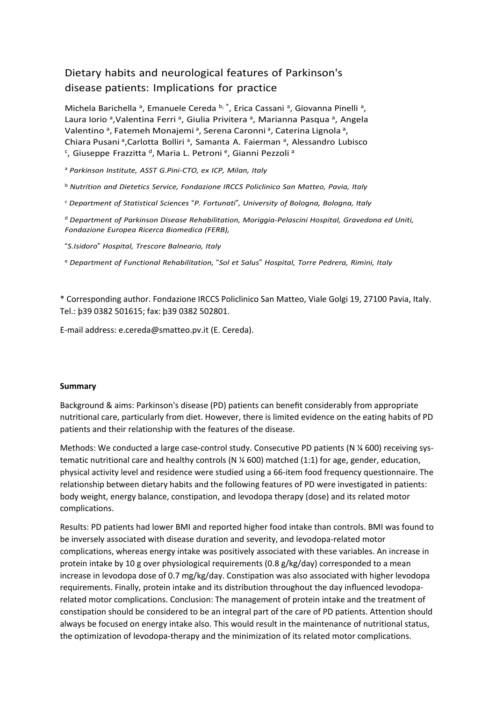# Dietary habits and neurological features of Parkinson's disease patients: Implications for practice

Michel[a](#page-1-0) Barichella <sup>a</sup>, Emanuele Cereda <sup>[b,](#page-1-1) \*</sup>[,](#page-1-0) Erica Cassani <sup>a</sup>, Giovanna Pinelli <sup>a</sup>, Laura Iorio <sup>a</sup>[,](#page-1-0) V[a](#page-1-0)lentina Ferri <sup>a</sup>, Giulia Privitera <sup>a</sup>, Marianna Pasqua <sup>a</sup>, Angela V[a](#page-1-0)lentino <sup>a</sup>[,](#page-1-0) Fatemeh Monajemi <sup>a</sup>, Serena Caronni <sup>a</sup>, Caterina Lignola <sup>a</sup>, Chi[a](#page-1-0)ra Pusani<sup>a</sup>, Carlotta Bolliri<sup>a</sup>, Samanta A. Faierman<sup>a</sup>, Alessandro Lubisco <sup>[c](#page-1-2)</sup>, Giuseppe Fr[a](#page-1-0)zzitta <sup>d</sup>, Maria L. Petroni <sup>e</sup>, Gianni Pezzoli <sup>a</sup>

<span id="page-1-0"></span><sup>a</sup> *Parkinson Institute, ASST G.Pini-CTO, ex ICP, Milan, Italy*

<span id="page-1-1"></span><sup>b</sup> *Nutrition and Dietetics Service, Fondazione IRCCS Policlinico San Matteo, Pavia, Italy*

<span id="page-1-2"></span><sup>c</sup> *Department of Statistical Sciences* "*P. Fortunati*"*, University of Bologna, Bologna, Italy*

<span id="page-1-3"></span><sup>d</sup> *Department of Parkinson Disease Rehabilitation, Moriggia-Pelascini Hospital, Gravedona ed Uniti, Fondazione Europea Ricerca Biomedica (FERB),*

<span id="page-1-4"></span>"*S.Isidoro*" *Hospital, Trescore Balneario, Italy*

<sup>e</sup> *Department of Functional Rehabilitation,* "*Sol et Salus*" *Hospital, Torre Pedrera, Rimini, Italy*

\* Corresponding author. Fondazione IRCCS Policlinico San Matteo, Viale Golgi 19, 27100 Pavia, Italy. Tel.: þ39 0382 501615; fax: þ39 0382 502801.

E-mail address: e.cereda@smatteo.pv.it (E. Cereda).

#### **Summary**

Background & aims: Parkinson's disease (PD) patients can benefit considerably from appropriate nutritional care, particularly from diet. However, there is limited evidence on the eating habits of PD patients and their relationship with the features of the disease.

Methods: We conducted a large case-control study. Consecutive PD patients (N % 600) receiving systematic nutritional care and healthy controls (N ¼ 600) matched (1:1) for age, gender, education, physical activity level and residence were studied using a 66-item food frequency questionnaire. The relationship between dietary habits and the following features of PD were investigated in patients: body weight, energy balance, constipation, and levodopa therapy (dose) and its related motor complications.

Results: PD patients had lower BMI and reported higher food intake than controls. BMI was found to be inversely associated with disease duration and severity, and levodopa-related motor complications, whereas energy intake was positively associated with these variables. An increase in protein intake by 10 g over physiological requirements (0.8 g/kg/day) corresponded to a mean increase in levodopa dose of 0.7 mg/kg/day. Constipation was also associated with higher levodopa requirements. Finally, protein intake and its distribution throughout the day influenced levodoparelated motor complications. Conclusion: The management of protein intake and the treatment of constipation should be considered to be an integral part of the care of PD patients. Attention should always be focused on energy intake also. This would result in the maintenance of nutritional status, the optimization of levodopa-therapy and the minimization of its related motor complications.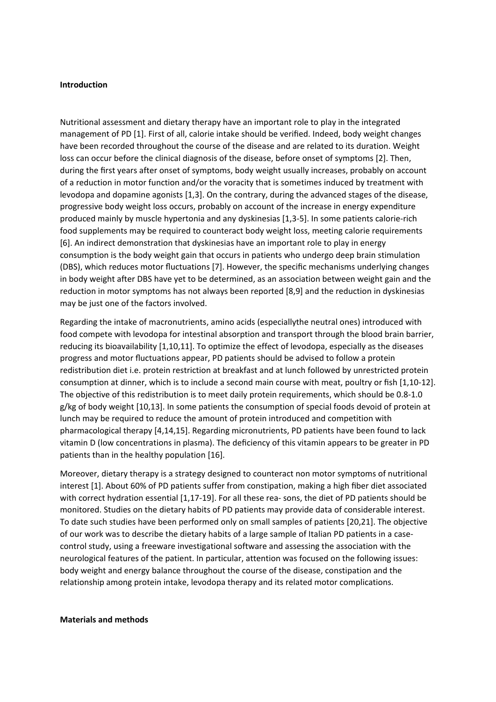#### **Introduction**

Nutritional assessment and dietary therapy have an important role to play in the integrated management of PD [1]. First of all, calorie intake should be verified. Indeed, body weight changes have been recorded throughout the course of the disease and are related to its duration. Weight loss can occur before the clinical diagnosis of the disease, before onset of symptoms [2]. Then, during the first years after onset of symptoms, body weight usually increases, probably on account of a reduction in motor function and/or the voracity that is sometimes induced by treatment with levodopa and dopamine agonists [1,3]. On the contrary, during the advanced stages of the disease, progressive body weight loss occurs, probably on account of the increase in energy expenditure produced mainly by muscle hypertonia and any dyskinesias [1,3-5]. In some patients calorie-rich food supplements may be required to counteract body weight loss, meeting calorie requirements [6]. An indirect demonstration that dyskinesias have an important role to play in energy consumption is the body weight gain that occurs in patients who undergo deep brain stimulation (DBS), which reduces motor fluctuations [7]. However, the specific mechanisms underlying changes in body weight after DBS have yet to be determined, as an association between weight gain and the reduction in motor symptoms has not always been reported [8,9] and the reduction in dyskinesias may be just one of the factors involved.

Regarding the intake of macronutrients, amino acids (especiallythe neutral ones) introduced with food compete with levodopa for intestinal absorption and transport through the blood brain barrier, reducing its bioavailability [1,10,11]. To optimize the effect of levodopa, especially as the diseases progress and motor fluctuations appear, PD patients should be advised to follow a protein redistribution diet i.e. protein restriction at breakfast and at lunch followed by unrestricted protein consumption at dinner, which is to include a second main course with meat, poultry or fish [1,10-12]. The objective of this redistribution is to meet daily protein requirements, which should be 0.8-1.0 g/kg of body weight [10,13]. In some patients the consumption of special foods devoid of protein at lunch may be required to reduce the amount of protein introduced and competition with pharmacological therapy [4,14,15]. Regarding micronutrients, PD patients have been found to lack vitamin D (low concentrations in plasma). The deficiency of this vitamin appears to be greater in PD patients than in the healthy population [16].

Moreover, dietary therapy is a strategy designed to counteract non motor symptoms of nutritional interest [1]. About 60% of PD patients suffer from constipation, making a high fiber diet associated with correct hydration essential [1,17-19]. For all these rea- sons, the diet of PD patients should be monitored. Studies on the dietary habits of PD patients may provide data of considerable interest. To date such studies have been performed only on small samples of patients [20,21]. The objective of our work was to describe the dietary habits of a large sample of Italian PD patients in a casecontrol study, using a freeware investigational software and assessing the association with the neurological features of the patient. In particular, attention was focused on the following issues: body weight and energy balance throughout the course of the disease, constipation and the relationship among protein intake, levodopa therapy and its related motor complications.

#### **Materials and methods**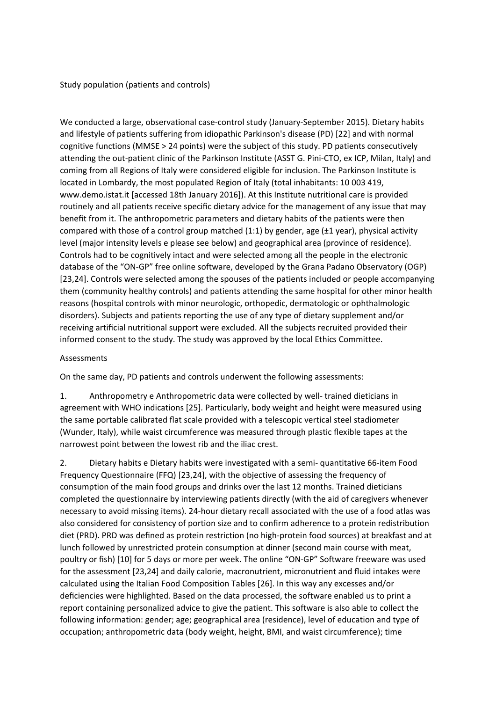Study population (patients and controls)

We conducted a large, observational case-control study (January-September 2015). Dietary habits and lifestyle of patients suffering from idiopathic Parkinson's disease (PD) [22] and with normal cognitive functions (MMSE > 24 points) were the subject of this study. PD patients consecutively attending the out-patient clinic of the Parkinson Institute (ASST G. Pini-CTO, ex ICP, Milan, Italy) and coming from all Regions of Italy were considered eligible for inclusion. The Parkinson Institute is located in Lombardy, the most populated Region of Italy (total inhabitants: 10 003 419, www.demo.istat.it [accessed 18th January 2016]). At this Institute nutritional care is provided routinely and all patients receive specific dietary advice for the management of any issue that may benefit from it. The anthropometric parameters and dietary habits of the patients were then compared with those of a control group matched  $(1:1)$  by gender, age  $(\pm 1$  year), physical activity level (major intensity levels e please see below) and geographical area (province of residence). Controls had to be cognitively intact and were selected among all the people in the electronic database of the "ON-GP" free online software, developed by the Grana Padano Observatory (OGP) [23,24]. Controls were selected among the spouses of the patients included or people accompanying them (community healthy controls) and patients attending the same hospital for other minor health reasons (hospital controls with minor neurologic, orthopedic, dermatologic or ophthalmologic disorders). Subjects and patients reporting the use of any type of dietary supplement and/or receiving artificial nutritional support were excluded. All the subjects recruited provided their informed consent to the study. The study was approved by the local Ethics Committee.

# Assessments

On the same day, PD patients and controls underwent the following assessments:

1. Anthropometry e Anthropometric data were collected by well- trained dieticians in agreement with WHO indications [25]. Particularly, body weight and height were measured using the same portable calibrated flat scale provided with a telescopic vertical steel stadiometer (Wunder, Italy), while waist circumference was measured through plastic flexible tapes at the narrowest point between the lowest rib and the iliac crest.

2. Dietary habits e Dietary habits were investigated with a semi- quantitative 66-item Food Frequency Questionnaire (FFQ) [23,24], with the objective of assessing the frequency of consumption of the main food groups and drinks over the last 12 months. Trained dieticians completed the questionnaire by interviewing patients directly (with the aid of caregivers whenever necessary to avoid missing items). 24-hour dietary recall associated with the use of a food atlas was also considered for consistency of portion size and to confirm adherence to a protein redistribution diet (PRD). PRD was defined as protein restriction (no high-protein food sources) at breakfast and at lunch followed by unrestricted protein consumption at dinner (second main course with meat, poultry or fish) [10] for 5 days or more per week. The online "ON-GP" Software freeware was used for the assessment [23,24] and daily calorie, macronutrient, micronutrient and fluid intakes were calculated using the Italian Food Composition Tables [26]. In this way any excesses and/or deficiencies were highlighted. Based on the data processed, the software enabled us to print a report containing personalized advice to give the patient. This software is also able to collect the following information: gender; age; geographical area (residence), level of education and type of occupation; anthropometric data (body weight, height, BMI, and waist circumference); time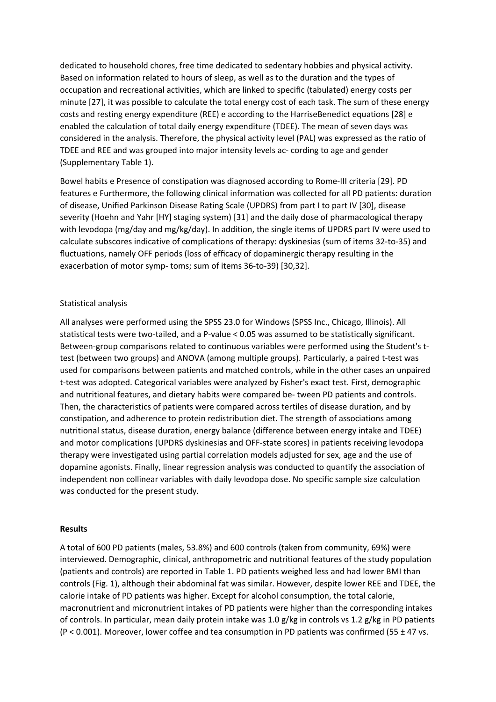dedicated to household chores, free time dedicated to sedentary hobbies and physical activity. Based on information related to hours of sleep, as well as to the duration and the types of occupation and recreational activities, which are linked to specific (tabulated) energy costs per minute [27], it was possible to calculate the total energy cost of each task. The sum of these energy costs and resting energy expenditure (REE) e according to the HarriseBenedict equations [28] e enabled the calculation of total daily energy expenditure (TDEE). The mean of seven days was considered in the analysis. Therefore, the physical activity level (PAL) was expressed as the ratio of TDEE and REE and was grouped into major intensity levels ac- cording to age and gender (Supplementary Table 1).

Bowel habits e Presence of constipation was diagnosed according to Rome-III criteria [29]. PD features e Furthermore, the following clinical information was collected for all PD patients: duration of disease, Unified Parkinson Disease Rating Scale (UPDRS) from part I to part IV [30], disease severity (Hoehn and Yahr [HY] staging system) [31] and the daily dose of pharmacological therapy with levodopa (mg/day and mg/kg/day). In addition, the single items of UPDRS part IV were used to calculate subscores indicative of complications of therapy: dyskinesias (sum of items 32-to-35) and fluctuations, namely OFF periods (loss of efficacy of dopaminergic therapy resulting in the exacerbation of motor symp- toms; sum of items 36-to-39) [30,32].

# Statistical analysis

All analyses were performed using the SPSS 23.0 for Windows (SPSS Inc., Chicago, Illinois). All statistical tests were two-tailed, and a P-value < 0.05 was assumed to be statistically significant. Between-group comparisons related to continuous variables were performed using the Student's ttest (between two groups) and ANOVA (among multiple groups). Particularly, a paired t-test was used for comparisons between patients and matched controls, while in the other cases an unpaired t-test was adopted. Categorical variables were analyzed by Fisher's exact test. First, demographic and nutritional features, and dietary habits were compared be- tween PD patients and controls. Then, the characteristics of patients were compared across tertiles of disease duration, and by constipation, and adherence to protein redistribution diet. The strength of associations among nutritional status, disease duration, energy balance (difference between energy intake and TDEE) and motor complications (UPDRS dyskinesias and OFF-state scores) in patients receiving levodopa therapy were investigated using partial correlation models adjusted for sex, age and the use of dopamine agonists. Finally, linear regression analysis was conducted to quantify the association of independent non collinear variables with daily levodopa dose. No specific sample size calculation was conducted for the present study.

#### **Results**

A total of 600 PD patients (males, 53.8%) and 600 controls (taken from community, 69%) were interviewed. Demographic, clinical, anthropometric and nutritional features of the study population (patients and controls) are reported in Table 1. PD patients weighed less and had lower BMI than controls (Fig. 1), although their abdominal fat was similar. However, despite lower REE and TDEE, the calorie intake of PD patients was higher. Except for alcohol consumption, the total calorie, macronutrient and micronutrient intakes of PD patients were higher than the corresponding intakes of controls. In particular, mean daily protein intake was 1.0 g/kg in controls vs 1.2 g/kg in PD patients (P < 0.001). Moreover, lower coffee and tea consumption in PD patients was confirmed (55 ± 47 vs.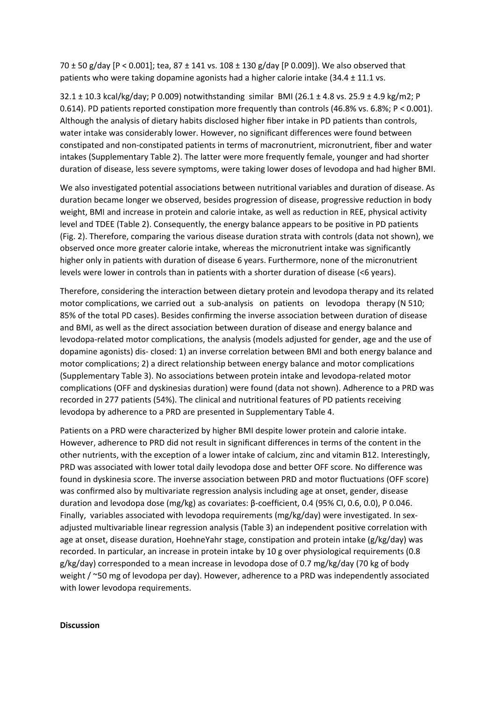70 ± 50 g/day [P < 0.001]; tea, 87 ± 141 vs. 108 ± 130 g/day [P 0.009]). We also observed that patients who were taking dopamine agonists had a higher calorie intake (34.4 ± 11.1 vs.

32.1 ± 10.3 kcal/kg/day; P 0.009) notwithstanding similar BMI (26.1 ± 4.8 vs. 25.9 ± 4.9 kg/m2; P 0.614). PD patients reported constipation more frequently than controls (46.8% vs. 6.8%; P < 0.001). Although the analysis of dietary habits disclosed higher fiber intake in PD patients than controls, water intake was considerably lower. However, no significant differences were found between constipated and non-constipated patients in terms of macronutrient, micronutrient, fiber and water intakes (Supplementary Table 2). The latter were more frequently female, younger and had shorter duration of disease, less severe symptoms, were taking lower doses of levodopa and had higher BMI.

We also investigated potential associations between nutritional variables and duration of disease. As duration became longer we observed, besides progression of disease, progressive reduction in body weight, BMI and increase in protein and calorie intake, as well as reduction in REE, physical activity level and TDEE (Table 2). Consequently, the energy balance appears to be positive in PD patients (Fig. 2). Therefore, comparing the various disease duration strata with controls (data not shown), we observed once more greater calorie intake, whereas the micronutrient intake was significantly higher only in patients with duration of disease 6 years. Furthermore, none of the micronutrient levels were lower in controls than in patients with a shorter duration of disease (<6 years).

Therefore, considering the interaction between dietary protein and levodopa therapy and its related motor complications, we carried out a sub-analysis on patients on levodopa therapy (N 510; 85% of the total PD cases). Besides confirming the inverse association between duration of disease and BMI, as well as the direct association between duration of disease and energy balance and levodopa-related motor complications, the analysis (models adjusted for gender, age and the use of dopamine agonists) dis- closed: 1) an inverse correlation between BMI and both energy balance and motor complications; 2) a direct relationship between energy balance and motor complications (Supplementary Table 3). No associations between protein intake and levodopa-related motor complications (OFF and dyskinesias duration) were found (data not shown). Adherence to a PRD was recorded in 277 patients (54%). The clinical and nutritional features of PD patients receiving levodopa by adherence to a PRD are presented in Supplementary Table 4.

Patients on a PRD were characterized by higher BMI despite lower protein and calorie intake. However, adherence to PRD did not result in significant differences in terms of the content in the other nutrients, with the exception of a lower intake of calcium, zinc and vitamin B12. Interestingly, PRD was associated with lower total daily levodopa dose and better OFF score. No difference was found in dyskinesia score. The inverse association between PRD and motor fluctuations (OFF score) was confirmed also by multivariate regression analysis including age at onset, gender, disease duration and levodopa dose (mg/kg) as covariates: β-coefficient, 0.4 (95% CI, 0.6, 0.0), P 0.046. Finally, variables associated with levodopa requirements (mg/kg/day) were investigated. In sexadjusted multivariable linear regression analysis (Table 3) an independent positive correlation with age at onset, disease duration, HoehneYahr stage, constipation and protein intake (g/kg/day) was recorded. In particular, an increase in protein intake by 10 g over physiological requirements (0.8 g/kg/day) corresponded to a mean increase in levodopa dose of 0.7 mg/kg/day (70 kg of body weight / ~50 mg of levodopa per day). However, adherence to a PRD was independently associated with lower levodopa requirements.

#### **Discussion**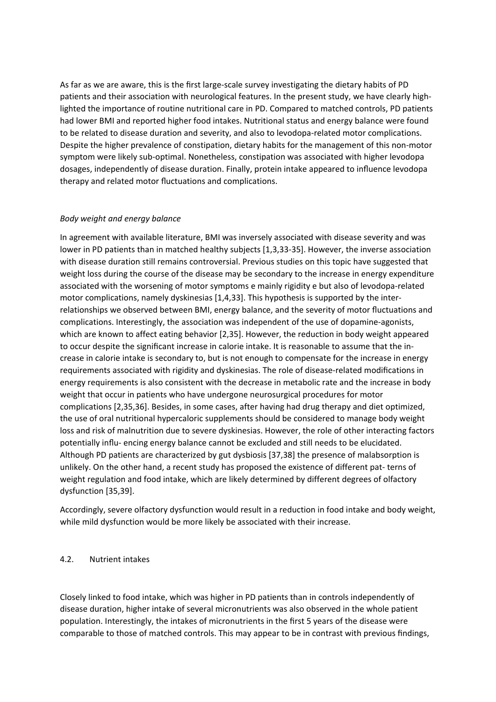As far as we are aware, this is the first large-scale survey investigating the dietary habits of PD patients and their association with neurological features. In the present study, we have clearly highlighted the importance of routine nutritional care in PD. Compared to matched controls, PD patients had lower BMI and reported higher food intakes. Nutritional status and energy balance were found to be related to disease duration and severity, and also to levodopa-related motor complications. Despite the higher prevalence of constipation, dietary habits for the management of this non-motor symptom were likely sub-optimal. Nonetheless, constipation was associated with higher levodopa dosages, independently of disease duration. Finally, protein intake appeared to influence levodopa therapy and related motor fluctuations and complications.

# *Body weight and energy balance*

In agreement with available literature, BMI was inversely associated with disease severity and was lower in PD patients than in matched healthy subjects [1,3,33-35]. However, the inverse association with disease duration still remains controversial. Previous studies on this topic have suggested that weight loss during the course of the disease may be secondary to the increase in energy expenditure associated with the worsening of motor symptoms e mainly rigidity e but also of levodopa-related motor complications, namely dyskinesias [1,4,33]. This hypothesis is supported by the interrelationships we observed between BMI, energy balance, and the severity of motor fluctuations and complications. Interestingly, the association was independent of the use of dopamine-agonists, which are known to affect eating behavior [2,35]. However, the reduction in body weight appeared to occur despite the significant increase in calorie intake. It is reasonable to assume that the increase in calorie intake is secondary to, but is not enough to compensate for the increase in energy requirements associated with rigidity and dyskinesias. The role of disease-related modifications in energy requirements is also consistent with the decrease in metabolic rate and the increase in body weight that occur in patients who have undergone neurosurgical procedures for motor complications [2,35,36]. Besides, in some cases, after having had drug therapy and diet optimized, the use of oral nutritional hypercaloric supplements should be considered to manage body weight loss and risk of malnutrition due to severe dyskinesias. However, the role of other interacting factors potentially influ- encing energy balance cannot be excluded and still needs to be elucidated. Although PD patients are characterized by gut dysbiosis [37,38] the presence of malabsorption is unlikely. On the other hand, a recent study has proposed the existence of different pat- terns of weight regulation and food intake, which are likely determined by different degrees of olfactory dysfunction [35,39].

Accordingly, severe olfactory dysfunction would result in a reduction in food intake and body weight, while mild dysfunction would be more likely be associated with their increase.

# 4.2. Nutrient intakes

Closely linked to food intake, which was higher in PD patients than in controls independently of disease duration, higher intake of several micronutrients was also observed in the whole patient population. Interestingly, the intakes of micronutrients in the first 5 years of the disease were comparable to those of matched controls. This may appear to be in contrast with previous findings,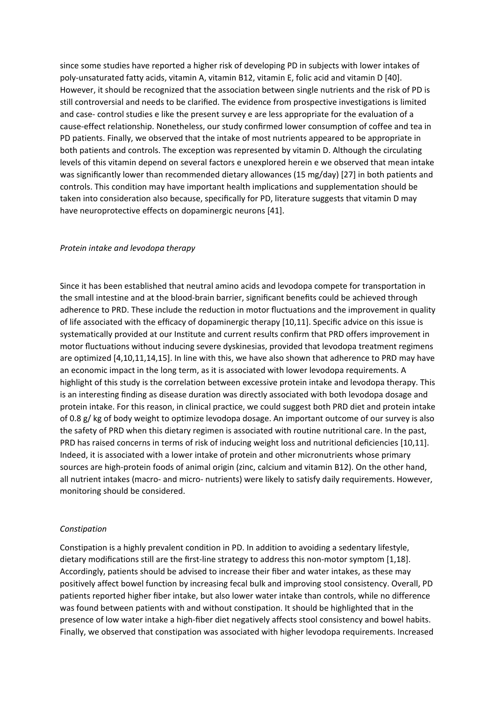since some studies have reported a higher risk of developing PD in subjects with lower intakes of poly-unsaturated fatty acids, vitamin A, vitamin B12, vitamin E, folic acid and vitamin D [40]. However, it should be recognized that the association between single nutrients and the risk of PD is still controversial and needs to be clarified. The evidence from prospective investigations is limited and case- control studies e like the present survey e are less appropriate for the evaluation of a cause-effect relationship. Nonetheless, our study confirmed lower consumption of coffee and tea in PD patients. Finally, we observed that the intake of most nutrients appeared to be appropriate in both patients and controls. The exception was represented by vitamin D. Although the circulating levels of this vitamin depend on several factors e unexplored herein e we observed that mean intake was significantly lower than recommended dietary allowances (15 mg/day) [27] in both patients and controls. This condition may have important health implications and supplementation should be taken into consideration also because, specifically for PD, literature suggests that vitamin D may have neuroprotective effects on dopaminergic neurons [41].

### *Protein intake and levodopa therapy*

Since it has been established that neutral amino acids and levodopa compete for transportation in the small intestine and at the blood-brain barrier, significant benefits could be achieved through adherence to PRD. These include the reduction in motor fluctuations and the improvement in quality of life associated with the efficacy of dopaminergic therapy [10,11]. Specific advice on this issue is systematically provided at our Institute and current results confirm that PRD offers improvement in motor fluctuations without inducing severe dyskinesias, provided that levodopa treatment regimens are optimized [4,10,11,14,15]. In line with this, we have also shown that adherence to PRD may have an economic impact in the long term, as it is associated with lower levodopa requirements. A highlight of this study is the correlation between excessive protein intake and levodopa therapy. This is an interesting finding as disease duration was directly associated with both levodopa dosage and protein intake. For this reason, in clinical practice, we could suggest both PRD diet and protein intake of 0.8 g/ kg of body weight to optimize levodopa dosage. An important outcome of our survey is also the safety of PRD when this dietary regimen is associated with routine nutritional care. In the past, PRD has raised concerns in terms of risk of inducing weight loss and nutritional deficiencies [10,11]. Indeed, it is associated with a lower intake of protein and other micronutrients whose primary sources are high-protein foods of animal origin (zinc, calcium and vitamin B12). On the other hand, all nutrient intakes (macro- and micro- nutrients) were likely to satisfy daily requirements. However, monitoring should be considered.

# *Constipation*

Constipation is a highly prevalent condition in PD. In addition to avoiding a sedentary lifestyle, dietary modifications still are the first-line strategy to address this non-motor symptom [1,18]. Accordingly, patients should be advised to increase their fiber and water intakes, as these may positively affect bowel function by increasing fecal bulk and improving stool consistency. Overall, PD patients reported higher fiber intake, but also lower water intake than controls, while no difference was found between patients with and without constipation. It should be highlighted that in the presence of low water intake a high-fiber diet negatively affects stool consistency and bowel habits. Finally, we observed that constipation was associated with higher levodopa requirements. Increased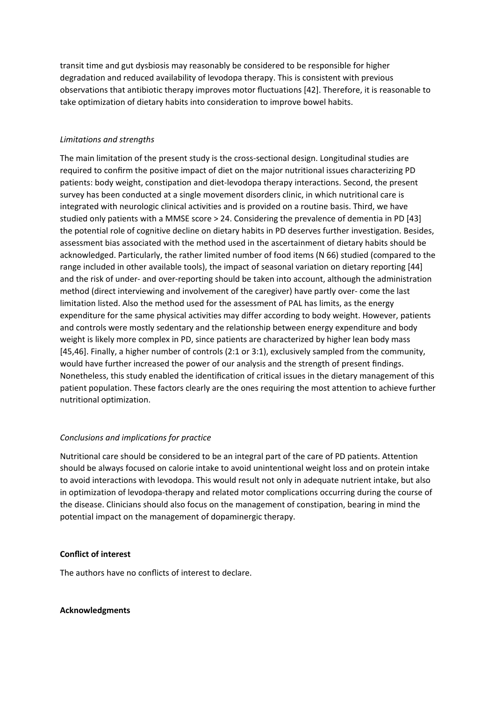transit time and gut dysbiosis may reasonably be considered to be responsible for higher degradation and reduced availability of levodopa therapy. This is consistent with previous observations that antibiotic therapy improves motor fluctuations [42]. Therefore, it is reasonable to take optimization of dietary habits into consideration to improve bowel habits.

# *Limitations and strengths*

The main limitation of the present study is the cross-sectional design. Longitudinal studies are required to confirm the positive impact of diet on the major nutritional issues characterizing PD patients: body weight, constipation and diet-levodopa therapy interactions. Second, the present survey has been conducted at a single movement disorders clinic, in which nutritional care is integrated with neurologic clinical activities and is provided on a routine basis. Third, we have studied only patients with a MMSE score > 24. Considering the prevalence of dementia in PD [43] the potential role of cognitive decline on dietary habits in PD deserves further investigation. Besides, assessment bias associated with the method used in the ascertainment of dietary habits should be acknowledged. Particularly, the rather limited number of food items (N 66) studied (compared to the range included in other available tools), the impact of seasonal variation on dietary reporting [44] and the risk of under- and over-reporting should be taken into account, although the administration method (direct interviewing and involvement of the caregiver) have partly over- come the last limitation listed. Also the method used for the assessment of PAL has limits, as the energy expenditure for the same physical activities may differ according to body weight. However, patients and controls were mostly sedentary and the relationship between energy expenditure and body weight is likely more complex in PD, since patients are characterized by higher lean body mass [45,46]. Finally, a higher number of controls (2:1 or 3:1), exclusively sampled from the community, would have further increased the power of our analysis and the strength of present findings. Nonetheless, this study enabled the identification of critical issues in the dietary management of this patient population. These factors clearly are the ones requiring the most attention to achieve further nutritional optimization.

# *Conclusions and implications for practice*

Nutritional care should be considered to be an integral part of the care of PD patients. Attention should be always focused on calorie intake to avoid unintentional weight loss and on protein intake to avoid interactions with levodopa. This would result not only in adequate nutrient intake, but also in optimization of levodopa-therapy and related motor complications occurring during the course of the disease. Clinicians should also focus on the management of constipation, bearing in mind the potential impact on the management of dopaminergic therapy.

# **Conflict of interest**

The authors have no conflicts of interest to declare.

# **Acknowledgments**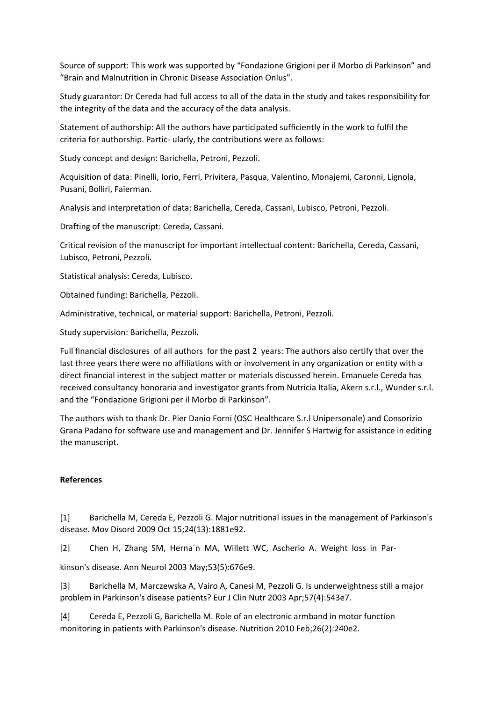Source of support: This work was supported by "Fondazione Grigioni per il Morbo di Parkinson" and "Brain and Malnutrition in Chronic Disease Association Onlus".

Study guarantor: Dr Cereda had full access to all of the data in the study and takes responsibility for the integrity of the data and the accuracy of the data analysis.

Statement of authorship: All the authors have participated sufficiently in the work to fulfil the criteria for authorship. Partic- ularly, the contributions were as follows:

Study concept and design: Barichella, Petroni, Pezzoli.

Acquisition of data: Pinelli, Iorio, Ferri, Privitera, Pasqua, Valentino, Monajemi, Caronni, Lignola, Pusani, Bolliri, Faierman.

Analysis and interpretation of data: Barichella, Cereda, Cassani, Lubisco, Petroni, Pezzoli.

Drafting of the manuscript: Cereda, Cassani.

Critical revision of the manuscript for important intellectual content: Barichella, Cereda, Cassani, Lubisco, Petroni, Pezzoli.

Statistical analysis: Cereda, Lubisco.

Obtained funding: Barichella, Pezzoli.

Administrative, technical, or material support: Barichella, Petroni, Pezzoli.

Study supervision: Barichella, Pezzoli.

Full financial disclosures of all authors for the past 2 years: The authors also certify that over the last three years there were no affiliations with or involvement in any organization or entity with a direct financial interest in the subject matter or materials discussed herein. Emanuele Cereda has received consultancy honoraria and investigator grants from Nutricia Italia, Akern s.r.l., Wunder s.r.l. and the "Fondazione Grigioni per il Morbo di Parkinson".

The authors wish to thank Dr. Pier Danio Forni (OSC Healthcare S.r.l Unipersonale) and Consorizio Grana Padano for software use and management and Dr. Jennifer S Hartwig for assistance in editing the manuscript.

### **References**

[1] Barichella M, Cereda E, Pezzoli G. Major nutritional issues in the management of Parkinson's disease. Mov Disord 2009 Oct 15;24(13):1881e92.

[2] Chen H, Zhang SM, Herna´n MA, Willett WC, Ascherio A. Weight loss in Par-

kinson's disease. Ann Neurol 2003 May;53(5):676e9.

[3] Barichella M, Marczewska A, Vairo A, Canesi M, Pezzoli G. Is underweightness still a major problem in Parkinson's disease patients? Eur J Clin Nutr 2003 Apr;57(4):543e7.

[4] Cereda E, Pezzoli G, Barichella M. Role of an electronic armband in motor function monitoring in patients with Parkinson's disease. Nutrition 2010 Feb;26(2):240e2.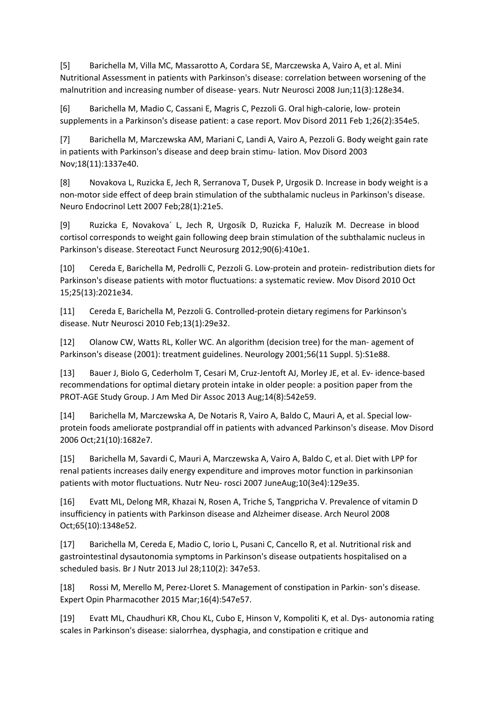[5] Barichella M, Villa MC, Massarotto A, Cordara SE, Marczewska A, Vairo A, et al. Mini Nutritional Assessment in patients with Parkinson's disease: correlation between worsening of the malnutrition and increasing number of disease- years. Nutr Neurosci 2008 Jun;11(3):128e34.

[6] Barichella M, Madio C, Cassani E, Magris C, Pezzoli G. Oral high-calorie, low- protein supplements in a Parkinson's disease patient: a case report. Mov Disord 2011 Feb 1;26(2):354e5.

[7] Barichella M, Marczewska AM, Mariani C, Landi A, Vairo A, Pezzoli G. Body weight gain rate in patients with Parkinson's disease and deep brain stimu- lation. Mov Disord 2003 Nov;18(11):1337e40.

[8] Novakova L, Ruzicka E, Jech R, Serranova T, Dusek P, Urgosik D. Increase in body weight is a non-motor side effect of deep brain stimulation of the subthalamic nucleus in Parkinson's disease. Neuro Endocrinol Lett 2007 Feb;28(1):21e5.

[9] Ruzicka E, Novakova´ L, Jech R, Urgosík D, Ruzicka F, Haluzík M. Decrease in blood cortisol corresponds to weight gain following deep brain stimulation of the subthalamic nucleus in Parkinson's disease. Stereotact Funct Neurosurg 2012;90(6):410e1.

[10] Cereda E, Barichella M, Pedrolli C, Pezzoli G. Low-protein and protein- redistribution diets for Parkinson's disease patients with motor fluctuations: a systematic review. Mov Disord 2010 Oct 15;25(13):2021e34.

[11] Cereda E, Barichella M, Pezzoli G. Controlled-protein dietary regimens for Parkinson's disease. Nutr Neurosci 2010 Feb;13(1):29e32.

[12] Olanow CW, Watts RL, Koller WC. An algorithm (decision tree) for the man- agement of Parkinson's disease (2001): treatment guidelines. Neurology 2001;56(11 Suppl. 5):S1e88.

[13] Bauer J, Biolo G, Cederholm T, Cesari M, Cruz-Jentoft AJ, Morley JE, et al. Ev- idence-based recommendations for optimal dietary protein intake in older people: a position paper from the PROT-AGE Study Group. J Am Med Dir Assoc 2013 Aug;14(8):542e59.

[14] Barichella M, Marczewska A, De Notaris R, Vairo A, Baldo C, Mauri A, et al. Special lowprotein foods ameliorate postprandial off in patients with advanced Parkinson's disease. Mov Disord 2006 Oct;21(10):1682e7.

[15] Barichella M, Savardi C, Mauri A, Marczewska A, Vairo A, Baldo C, et al. Diet with LPP for renal patients increases daily energy expenditure and improves motor function in parkinsonian patients with motor fluctuations. Nutr Neu- rosci 2007 JuneAug;10(3e4):129e35.

[16] Evatt ML, Delong MR, Khazai N, Rosen A, Triche S, Tangpricha V. Prevalence of vitamin D insufficiency in patients with Parkinson disease and Alzheimer disease. Arch Neurol 2008 Oct;65(10):1348e52.

[17] Barichella M, Cereda E, Madio C, Iorio L, Pusani C, Cancello R, et al. Nutritional risk and gastrointestinal dysautonomia symptoms in Parkinson's disease outpatients hospitalised on a scheduled basis. Br J Nutr 2013 Jul 28;110(2): 347e53.

[18] Rossi M, Merello M, Perez-Lloret S. Management of constipation in Parkin- son's disease. Expert Opin Pharmacother 2015 Mar;16(4):547e57.

[19] Evatt ML, Chaudhuri KR, Chou KL, Cubo E, Hinson V, Kompoliti K, et al. Dys- autonomia rating scales in Parkinson's disease: sialorrhea, dysphagia, and constipation e critique and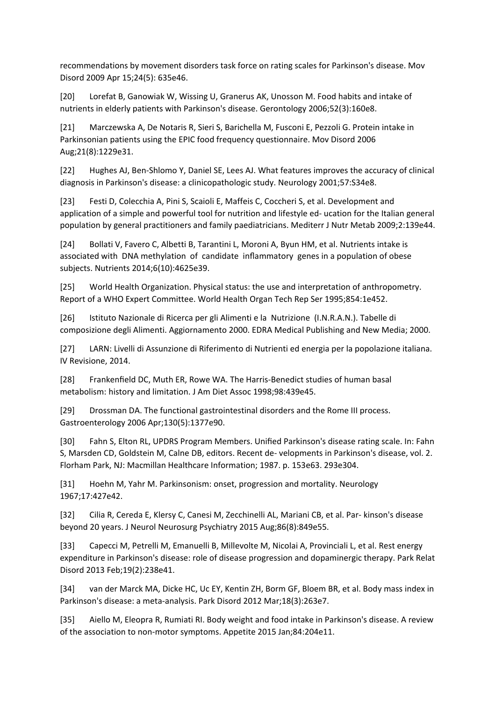recommendations by movement disorders task force on rating scales for Parkinson's disease. Mov Disord 2009 Apr 15;24(5): 635e46.

[20] Lorefat B, Ganowiak W, Wissing U, Granerus AK, Unosson M. Food habits and intake of nutrients in elderly patients with Parkinson's disease. Gerontology 2006;52(3):160e8.

[21] Marczewska A, De Notaris R, Sieri S, Barichella M, Fusconi E, Pezzoli G. Protein intake in Parkinsonian patients using the EPIC food frequency questionnaire. Mov Disord 2006 Aug;21(8):1229e31.

[22] Hughes AJ, Ben-Shlomo Y, Daniel SE, Lees AJ. What features improves the accuracy of clinical diagnosis in Parkinson's disease: a clinicopathologic study. Neurology 2001;57:S34e8.

[23] Festi D, Colecchia A, Pini S, Scaioli E, Maffeis C, Coccheri S, et al. Development and application of a simple and powerful tool for nutrition and lifestyle ed- ucation for the Italian general population by general practitioners and family paediatricians. Mediterr J Nutr Metab 2009;2:139e44.

[24] Bollati V, Favero C, Albetti B, Tarantini L, Moroni A, Byun HM, et al. Nutrients intake is associated with DNA methylation of candidate inflammatory genes in a population of obese subjects. Nutrients 2014;6(10):4625e39.

[25] World Health Organization. Physical status: the use and interpretation of anthropometry. Report of a WHO Expert Committee. World Health Organ Tech Rep Ser 1995;854:1e452.

[26] Istituto Nazionale di Ricerca per gli Alimenti e la Nutrizione (I.N.R.A.N.). Tabelle di composizione degli Alimenti. Aggiornamento 2000. EDRA Medical Publishing and New Media; 2000.

[27] LARN: Livelli di Assunzione di Riferimento di Nutrienti ed energia per la popolazione italiana. IV Revisione, 2014.

[28] Frankenfield DC, Muth ER, Rowe WA. The Harris-Benedict studies of human basal metabolism: history and limitation. J Am Diet Assoc 1998;98:439e45.

[29] Drossman DA. The functional gastrointestinal disorders and the Rome III process. Gastroenterology 2006 Apr;130(5):1377e90.

[30] Fahn S, Elton RL, UPDRS Program Members. Unified Parkinson's disease rating scale. In: Fahn S, Marsden CD, Goldstein M, Calne DB, editors. Recent de- velopments in Parkinson's disease, vol. 2. Florham Park, NJ: Macmillan Healthcare Information; 1987. p. 153e63. 293e304.

[31] Hoehn M, Yahr M. Parkinsonism: onset, progression and mortality. Neurology 1967;17:427e42.

[32] Cilia R, Cereda E, Klersy C, Canesi M, Zecchinelli AL, Mariani CB, et al. Par- kinson's disease beyond 20 years. J Neurol Neurosurg Psychiatry 2015 Aug;86(8):849e55.

[33] Capecci M, Petrelli M, Emanuelli B, Millevolte M, Nicolai A, Provinciali L, et al. Rest energy expenditure in Parkinson's disease: role of disease progression and dopaminergic therapy. Park Relat Disord 2013 Feb;19(2):238e41.

[34] van der Marck MA, Dicke HC, Uc EY, Kentin ZH, Borm GF, Bloem BR, et al. Body mass index in Parkinson's disease: a meta-analysis. Park Disord 2012 Mar;18(3):263e7.

[35] Aiello M, Eleopra R, Rumiati RI. Body weight and food intake in Parkinson's disease. A review of the association to non-motor symptoms. Appetite 2015 Jan;84:204e11.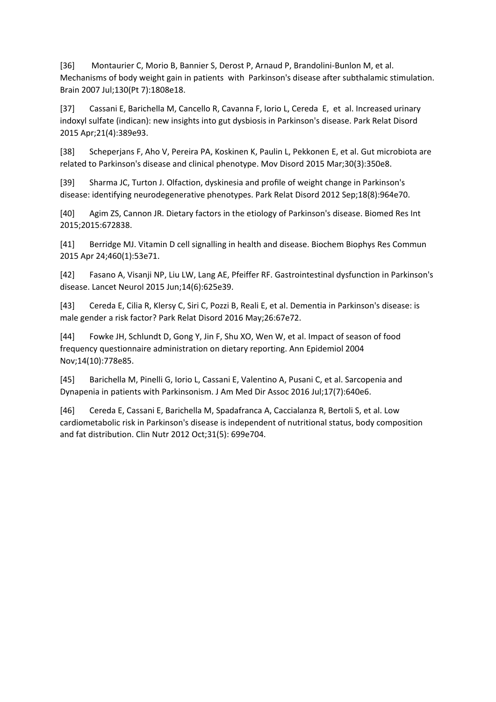[36] Montaurier C, Morio B, Bannier S, Derost P, Arnaud P, Brandolini-Bunlon M, et al. Mechanisms of body weight gain in patients with Parkinson's disease after subthalamic stimulation. Brain 2007 Jul;130(Pt 7):1808e18.

[37] Cassani E, Barichella M, Cancello R, Cavanna F, Iorio L, Cereda E, et al. Increased urinary indoxyl sulfate (indican): new insights into gut dysbiosis in Parkinson's disease. Park Relat Disord 2015 Apr;21(4):389e93.

[38] Scheperjans F, Aho V, Pereira PA, Koskinen K, Paulin L, Pekkonen E, et al. Gut microbiota are related to Parkinson's disease and clinical phenotype. Mov Disord 2015 Mar;30(3):350e8.

[39] Sharma JC, Turton J. Olfaction, dyskinesia and profile of weight change in Parkinson's disease: identifying neurodegenerative phenotypes. Park Relat Disord 2012 Sep;18(8):964e70.

[40] Agim ZS, Cannon JR. Dietary factors in the etiology of Parkinson's disease. Biomed Res Int 2015;2015:672838.

[41] Berridge MJ. Vitamin D cell signalling in health and disease. Biochem Biophys Res Commun 2015 Apr 24;460(1):53e71.

[42] Fasano A, Visanji NP, Liu LW, Lang AE, Pfeiffer RF. Gastrointestinal dysfunction in Parkinson's disease. Lancet Neurol 2015 Jun;14(6):625e39.

[43] Cereda E, Cilia R, Klersy C, Siri C, Pozzi B, Reali E, et al. Dementia in Parkinson's disease: is male gender a risk factor? Park Relat Disord 2016 May;26:67e72.

[44] Fowke JH, Schlundt D, Gong Y, Jin F, Shu XO, Wen W, et al. Impact of season of food frequency questionnaire administration on dietary reporting. Ann Epidemiol 2004 Nov;14(10):778e85.

[45] Barichella M, Pinelli G, Iorio L, Cassani E, Valentino A, Pusani C, et al. Sarcopenia and Dynapenia in patients with Parkinsonism. J Am Med Dir Assoc 2016 Jul;17(7):640e6.

[46] Cereda E, Cassani E, Barichella M, Spadafranca A, Caccialanza R, Bertoli S, et al. Low cardiometabolic risk in Parkinson's disease is independent of nutritional status, body composition and fat distribution. Clin Nutr 2012 Oct;31(5): 699e704.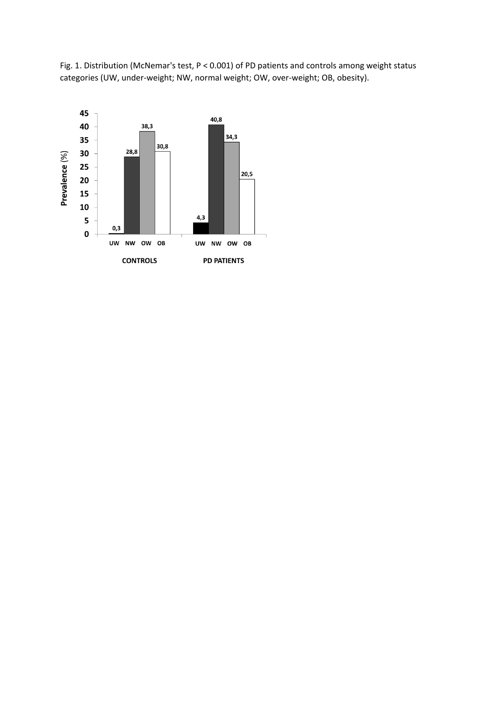

Fig. 1. Distribution (McNemar's test, P < 0.001) of PD patients and controls among weight status categories (UW, under-weight; NW, normal weight; OW, over-weight; OB, obesity).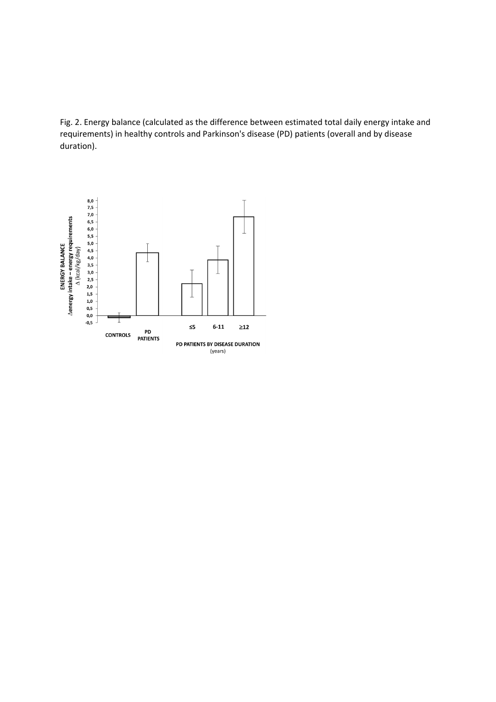Fig. 2. Energy balance (calculated as the difference between estimated total daily energy intake and requirements) in healthy controls and Parkinson's disease (PD) patients (overall and by disease duration).

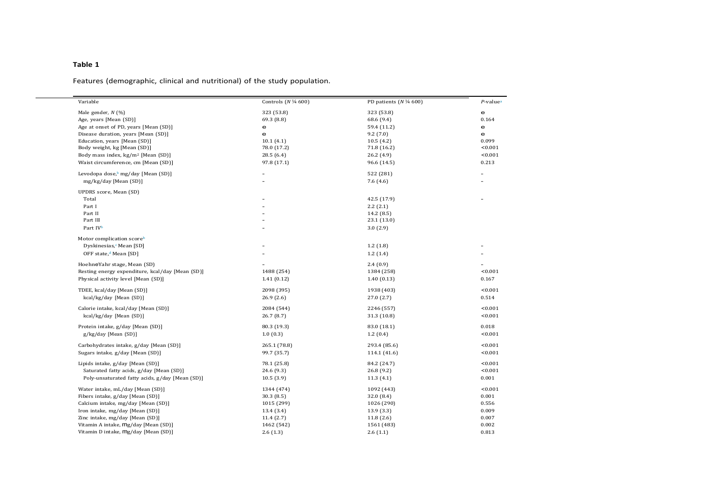#### **Table 1**

Features (demographic, clinical and nutritional) of the study population.

| Variable                                         | Controls $(N \nmid 4 600)$ | PD patients $(N \nmid 4 600)$ | $P$ -value <sup>a</sup> |
|--------------------------------------------------|----------------------------|-------------------------------|-------------------------|
| Male gender, $N$ (%)                             | 323 (53.8)                 | 323 (53.8)                    | e                       |
| Age, years [Mean (SD)]                           | 69.3 (8.8)                 | 68.6 (9.4)                    | 0.164                   |
| Age at onset of PD, years [Mean (SD)]            | e                          | 59.4 (11.2)                   | e                       |
| Disease duration, years [Mean (SD)]              | e                          | 9.2(7.0)                      | e                       |
| Education, years [Mean (SD)]                     | 10.1(4.1)                  | 10.5(4.2)                     | 0.099                   |
| Body weight, kg [Mean (SD)]                      | 78.0 (17.2)                | 71.8 (16.2)                   | < 0.001                 |
| Body mass index, kg/m <sup>2</sup> [Mean (SD)]   | 28.5 (6.4)                 | 26.2 (4.9)                    | < 0.001                 |
| Waist circumference, cm [Mean (SD)]              | 97.8 (17.1)                | 96.6 (14.5)                   | 0.213                   |
| Levodopa dose, mg/day [Mean (SD)]                |                            | 522 (281)                     |                         |
| mg/kg/day [Mean (SD)]                            |                            | 7.6(4.6)                      |                         |
| UPDRS score, Mean (SD)                           |                            |                               |                         |
| Total                                            |                            | 42.5 (17.9)                   |                         |
| Part I                                           |                            | 2.2(2.1)                      |                         |
| Part II                                          |                            | 14.2 (8.5)                    |                         |
| Part III                                         |                            | 23.1 (13.0)                   |                         |
| Part IV <sup>b</sup>                             |                            | 3.0(2.9)                      |                         |
| Motor complication scoreb                        |                            |                               |                         |
| Dyskinesias, <sup>c</sup> Mean [SD]              |                            | 1.2(1.8)                      |                         |
| OFF state, <sup>d</sup> Mean [SD]                |                            | 1.2(1.4)                      |                         |
| HoehneYahr stage, Mean (SD)                      |                            | 2.4(0.9)                      |                         |
| Resting energy expenditure, kcal/day [Mean (SD)] | 1488 (254)                 | 1384 (258)                    | < 0.001                 |
| Physical activity level [Mean (SD)]              | 1.41(0.12)                 | 1.40(0.13)                    | 0.167                   |
| TDEE, kcal/day [Mean (SD)]                       | 2098 (395)                 | 1938 (403)                    | < 0.001                 |
| kcal/kg/day [Mean (SD)]                          | 26.9(2.6)                  | 27.0 (2.7)                    | 0.514                   |
| Calorie intake, kcal/day [Mean (SD)]             | 2084 (544)                 | 2246 (557)                    | < 0.001                 |
| kcal/kg/day [Mean (SD)]                          | 26.7(8.7)                  | 31.3 (10.8)                   | < 0.001                 |
| Protein intake, g/day [Mean (SD)]                | 80.3 (19.3)                | 83.0 (18.1)                   | 0.018                   |
| g/kg/day [Mean (SD)]                             | 1.0(0.3)                   | 1.2(0.4)                      | < 0.001                 |
| Carbohydrates intake, g/day [Mean (SD)]          | 265.1 (78.8)               | 293.4 (85.6)                  | < 0.001                 |
| Sugars intake, g/day [Mean (SD)]                 | 99.7 (35.7)                | 114.1 (41.6)                  | < 0.001                 |
| Lipids intake, g/day [Mean (SD)]                 | 78.1 (25.8)                | 84.2 (24.7)                   | < 0.001                 |
| Saturated fatty acids, g/day [Mean (SD)]         | 24.6 (9.3)                 | 26.8(9.2)                     | < 0.001                 |
| Poly-unsaturated fatty acids, g/day [Mean (SD)]  | 10.5(3.9)                  | 11.3(4.1)                     | 0.001                   |
| Water intake, mL/day [Mean (SD)]                 | 1344 (474)                 | 1092 (443)                    | < 0.001                 |
| Fibers intake, g/day [Mean (SD)]                 | 30.3(8.5)                  | 32.0 (8.4)                    | 0.001                   |
| Calcium intake, mg/day [Mean (SD)]               | 1015 (299)                 | 1026 (290)                    | 0.556                   |
| Iron intake, mg/day [Mean (SD)]                  | 13.4(3.4)                  | 13.9(3.3)                     | 0.009                   |
| Zinc intake, mg/day [Mean (SD)]                  | 11.4(2.7)                  | 11.8(2.6)                     | 0.007                   |
| Vitamin A intake, mg/day [Mean (SD)]             | 1462 (542)                 | 1561 (483)                    | 0.002                   |
| Vitamin D intake, mg/day [Mean (SD)]             | 2.6(1.3)                   | 2.6(1.1)                      | 0.813                   |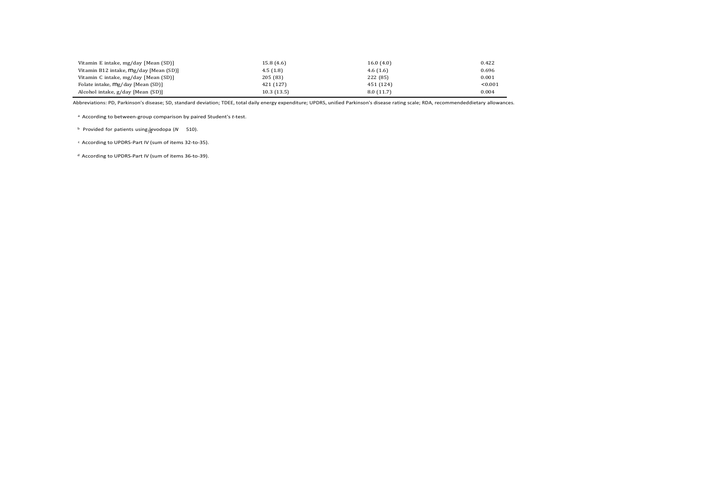| Vitamin E intake, mg/day [Mean (SD)]   | 15.8 (4.6) | 16.0(4.0) | 0.422   |
|----------------------------------------|------------|-----------|---------|
| Vitamin B12 intake, mg/day [Mean (SD)] | 4.5(1.8)   | 4.6(1.6)  | 0.696   |
| Vitamin C intake, mg/day [Mean (SD)]   | 205 (83)   | 222 (85)  | 0.001   |
| Folate intake, mg/day [Mean (SD)]      | 421 (127)  | 451 (124) | < 0.001 |
| Alcohol intake, g/day [Mean (SD)]      | 10.3(13.5) | 8.0(11.7) | 0.004   |

Abbreviations: PD, Parkinson's disease; SD, standard deviation; TDEE, total daily energy expenditure; UPDRS, unified Parkinson's disease rating scale; RDA, recommendeddietary allowances.

<span id="page-16-1"></span><span id="page-16-0"></span><sup>a</sup> According to between-group comparison by paired Student's *t*-test.

<span id="page-16-2"></span><sup>b</sup> Provided for patients using Jevodopa (N 510).

<span id="page-16-3"></span><sup>c</sup> According to UPDRS-Part IV (sum of items 32-to-35).

<sup>d</sup> According to UPDRS-Part IV (sum of items 36-to-39).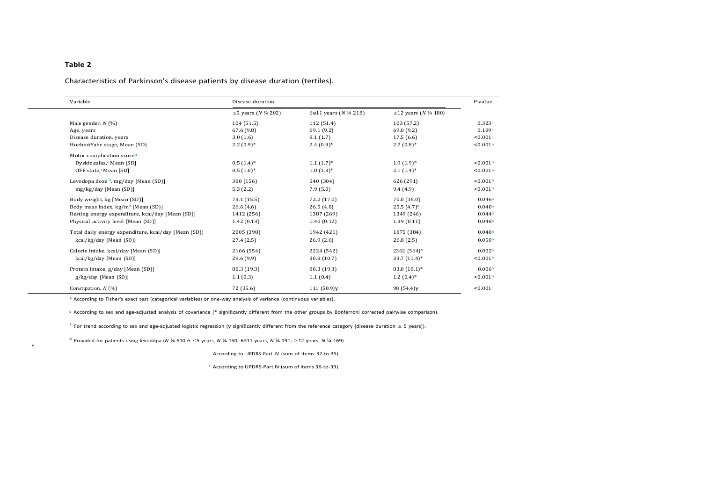#### **Table 2**

e

#### Characteristics of Parkinson's disease patients by disease duration (tertiles).

| Variable                                             | Disease duration         |                      |                           |                      |
|------------------------------------------------------|--------------------------|----------------------|---------------------------|----------------------|
|                                                      | $\leq$ 5 years (N ¼ 202) | 6e11 years (N ¼ 218) | $\geq$ 12 years (N ¼ 180) |                      |
| Male gender, $N$ (%)                                 | 104(51.5)                | 112 (51.4)           | 103 (57.2)                | 0.323a               |
| Age, years                                           | 67.6(9.8)                | 69.1 (9.2)           | 69.0 (9.2)                | 0.189a               |
| Disease duration, years                              | 3.0(1.6)                 | 8.1(1.7)             | 17.5(6.6)                 | < 0.001a             |
| HoehneYahr stage, Mean (SD)                          | $2.2(0.9)*$              | $2.4(0.9)*$          | $2.7(0.8)$ *              | < 0.001 <sup>b</sup> |
| Motor complication scored                            |                          |                      |                           |                      |
| Dyskinesias, <sup>e</sup> Mean [SD]                  | $0.5(1.4)^*$             | $1.1(1.7)$ *         | $1.9(1.9)*$               | < 0.001 <sup>b</sup> |
| OFF state, Mean [SD]                                 | $0.5(1.0)*$              | $1.0(1.3)*$          | $2.1(1.4)$ *              | < 0.001 <sup>b</sup> |
| Levodopa dose <sup>d</sup> , mg/day [Mean (SD)]      | 380 (156)                | 540 (304)            | 626 (291)                 | < 0.001 <sup>b</sup> |
| mg/kg/day [Mean (SD)]                                | 5.3(2.2)                 | 7.9(5.0)             | 9.4(4.9)                  | < 0.001 <sup>b</sup> |
| Body weight, kg [Mean (SD)]                          | 73.1 (15.5)              | 72.2 (17.0)          | 70.0 (16.0)               | 0.046 <sup>b</sup>   |
| Body mass index, kg/m <sup>2</sup> [Mean (SD)]       | 26.6(4.6)                | 26.5(4.8)            | $25.5(4.7)$ *             | 0.040 <sup>b</sup>   |
| Resting energy expenditure, kcal/day [Mean (SD)]     | 1412 (256)               | 1387 (269)           | 1349 (246)                | 0.044 <sup>b</sup>   |
| Physical activity level [Mean (SD)]                  | 1.42(0.13)               | 1.40(0.12)           | 1.39(0.11)                | 0.048 <sup>b</sup>   |
| Total daily energy expenditure, kcal/day [Mean (SD)] | 2005 (398)               | 1942 (421)           | 1875 (384)                | 0.040 <sup>b</sup>   |
| kcal/kg/day [Mean (SD)]                              | 27.4(2.5)                | 26.9(2.6)            | 26.8(2.5)                 | 0.050 <sup>b</sup>   |
| Calorie intake, kcal/day [Mean (SD)]                 | 2166 (554)               | 2224 (542)           | 2362 (564)*               | 0.002 <sub>b</sub>   |
| kcal/kg/day [Mean (SD)]                              | 29.6(9.9)                | 30.8(10.7)           | 33.7 (11.4)*              | < 0.001 <sup>b</sup> |
| Protein intake, g/day [Mean (SD)]                    | 80.3 (19.3)              | 80.3 (19.3)          | 83.0 (18.1)*              | 0.006 <sup>b</sup>   |
| g/kg/day [Mean (SD)]                                 | 1.1(0.3)                 | 1.1(0.4)             | $1.2(0.4)$ *              | < 0.001 <sup>b</sup> |
| Constipation, N (%)                                  | 72 (35.6)                | 111 (50.9)v          | 98 (54.4) v               | < 0.001c             |

<span id="page-17-1"></span><sup>a</sup> According to Fisher's exact test (categorical variables) or one-way analysis of variance (continuous variables).

<span id="page-17-5"></span>**b** According to sex and age-adjusted analysis of covariance (\* significantly different from the other groups by Bonferroni corrected pairwise comparison).

<span id="page-17-2"></span><sup>c</sup> For trend according to sex and age-adjusted logistic regression (y significantly different from the reference category [disease duration  $\leq$  5 years]).

<span id="page-17-4"></span><span id="page-17-3"></span>d Provided for patients using levodopa (*N* ¼ 510 e ≤5 years, *N* ¼ 150; 6e11 years, *N* ¼ 191; ≥12 years, *N* ¼ 169).

<span id="page-17-0"></span>According to UPDRS-Part IV (sum of items 32-to-35).

<sup>f</sup> According to UPDRS-Part IV (sum of items 36-to-39).